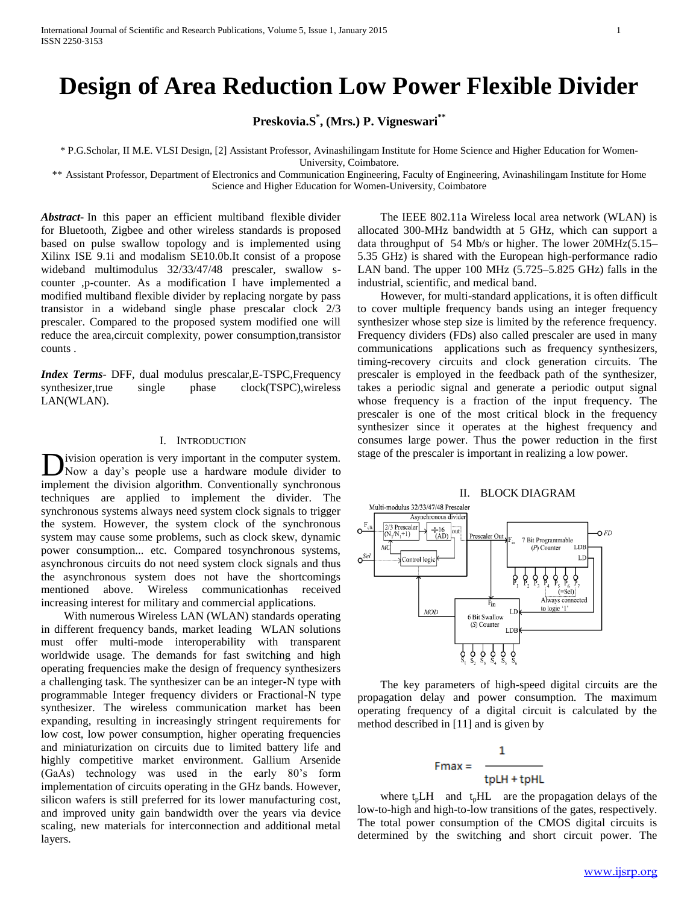# **Design of Area Reduction Low Power Flexible Divider**

**Preskovia.S\* , (Mrs.) P. Vigneswari\*\***

\* P.G.Scholar, II M.E. VLSI Design, [2] Assistant Professor, Avinashilingam Institute for Home Science and Higher Education for Women-

University, Coimbatore.

\*\* Assistant Professor, Department of Electronics and Communication Engineering, Faculty of Engineering, Avinashilingam Institute for Home Science and Higher Education for Women-University, Coimbatore

*Abstract***-** In this paper an efficient multiband flexible divider for Bluetooth, Zigbee and other wireless standards is proposed based on pulse swallow topology and is implemented using Xilinx ISE 9.1i and modalism SE10.0b.It consist of a propose wideband multimodulus 32/33/47/48 prescaler, swallow scounter ,p-counter. As a modification I have implemented a modified multiband flexible divider by replacing norgate by pass transistor in a wideband single phase prescalar clock 2/3 prescaler. Compared to the proposed system modified one will reduce the area,circuit complexity, power consumption,transistor counts .

*Index Terms*- DFF, dual modulus prescalar,E-TSPC,Frequency synthesizer,true single phase clock(TSPC),wireless LAN(WLAN).

# I. INTRODUCTION

ivision operation is very important in the computer system. Now a day's people use a hardware module divider to implement the division algorithm. Conventionally synchronous techniques are applied to implement the divider. The synchronous systems always need system clock signals to trigger the system. However, the system clock of the synchronous system may cause some problems, such as clock skew, dynamic power consumption... etc. Compared tosynchronous systems, asynchronous circuits do not need system clock signals and thus the asynchronous system does not have the shortcomings mentioned above. Wireless communicationhas received increasing interest for military and commercial applications. D

 With numerous Wireless LAN (WLAN) standards operating in different frequency bands, market leading WLAN solutions must offer multi-mode interoperability with transparent worldwide usage. The demands for fast switching and high operating frequencies make the design of frequency synthesizers a challenging task. The synthesizer can be an integer-N type with programmable Integer frequency dividers or Fractional-N type synthesizer. The wireless communication market has been expanding, resulting in increasingly stringent requirements for low cost, low power consumption, higher operating frequencies and miniaturization on circuits due to limited battery life and highly competitive market environment. Gallium Arsenide (GaAs) technology was used in the early 80's form implementation of circuits operating in the GHz bands. However, silicon wafers is still preferred for its lower manufacturing cost, and improved unity gain bandwidth over the years via device scaling, new materials for interconnection and additional metal layers.

 The IEEE 802.11a Wireless local area network (WLAN) is allocated 300-MHz bandwidth at 5 GHz, which can support a data throughput of 54 Mb/s or higher. The lower 20MHz(5.15– 5.35 GHz) is shared with the European high-performance radio LAN band. The upper 100 MHz (5.725–5.825 GHz) falls in the industrial, scientific, and medical band.

 However, for multi-standard applications, it is often difficult to cover multiple frequency bands using an integer frequency synthesizer whose step size is limited by the reference frequency. Frequency dividers (FDs) also called prescaler are used in many communications applications such as frequency synthesizers, timing-recovery circuits and clock generation circuits. The prescaler is employed in the feedback path of the synthesizer, takes a periodic signal and generate a periodic output signal whose frequency is a fraction of the input frequency. The prescaler is one of the most critical block in the frequency synthesizer since it operates at the highest frequency and consumes large power. Thus the power reduction in the first stage of the prescaler is important in realizing a low power.

## II. BLOCK DIAGRAM



 The key parameters of high-speed digital circuits are the propagation delay and power consumption. The maximum operating frequency of a digital circuit is calculated by the method described in [11] and is given by

$$
Fmax = \frac{1}{\text{tpLH + tpHL}}
$$

where  $t_p L H$  and  $t_p H L$  are the propagation delays of the low-to-high and high-to-low transitions of the gates, respectively. The total power consumption of the CMOS digital circuits is determined by the switching and short circuit power. The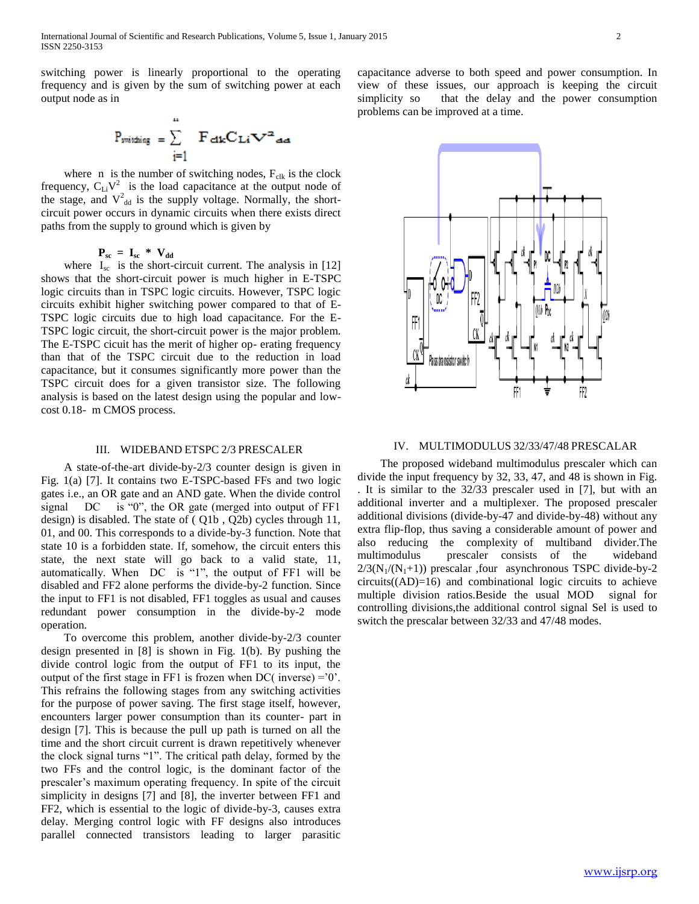switching power is linearly proportional to the operating frequency and is given by the sum of switching power at each output node as in



where  $n$  is the number of switching nodes,  $F_{\text{clk}}$  is the clock frequency,  $C_{Li}V^2$  is the load capacitance at the output node of the stage, and  $V_{dd}^2$  is the supply voltage. Normally, the shortcircuit power occurs in dynamic circuits when there exists direct paths from the supply to ground which is given by

 $P_{\text{sc}} = I_{\text{sc}} \cdot W_{\text{dd}}$ 

where  $I_{\rm sc}$  is the short-circuit current. The analysis in [12] shows that the short-circuit power is much higher in E-TSPC logic circuits than in TSPC logic circuits. However, TSPC logic circuits exhibit higher switching power compared to that of E-TSPC logic circuits due to high load capacitance. For the E-TSPC logic circuit, the short-circuit power is the major problem. The E-TSPC cicuit has the merit of higher op- erating frequency than that of the TSPC circuit due to the reduction in load capacitance, but it consumes significantly more power than the TSPC circuit does for a given transistor size. The following analysis is based on the latest design using the popular and lowcost 0.18- m CMOS process.

#### III. WIDEBAND ETSPC 2/3 PRESCALER

 A state-of-the-art divide-by-2/3 counter design is given in Fig. 1(a) [7]. It contains two E-TSPC-based FFs and two logic gates i.e., an OR gate and an AND gate. When the divide control signal DC is "0", the OR gate (merged into output of FF1 design) is disabled. The state of ( Q1b , Q2b) cycles through 11, 01, and 00. This corresponds to a divide-by-3 function. Note that state 10 is a forbidden state. If, somehow, the circuit enters this state, the next state will go back to a valid state, 11, automatically. When DC is "1", the output of FF1 will be disabled and FF2 alone performs the divide-by-2 function. Since the input to FF1 is not disabled, FF1 toggles as usual and causes redundant power consumption in the divide-by-2 mode operation.

 To overcome this problem, another divide-by-2/3 counter design presented in [8] is shown in Fig. 1(b). By pushing the divide control logic from the output of FF1 to its input, the output of the first stage in FF1 is frozen when DC( inverse) =  $0$ . This refrains the following stages from any switching activities for the purpose of power saving. The first stage itself, however, encounters larger power consumption than its counter- part in design [7]. This is because the pull up path is turned on all the time and the short circuit current is drawn repetitively whenever the clock signal turns "1". The critical path delay, formed by the two FFs and the control logic, is the dominant factor of the prescaler's maximum operating frequency. In spite of the circuit simplicity in designs [7] and [8], the inverter between FF1 and FF2, which is essential to the logic of divide-by-3, causes extra delay. Merging control logic with FF designs also introduces parallel connected transistors leading to larger parasitic

capacitance adverse to both speed and power consumption. In view of these issues, our approach is keeping the circuit simplicity so that the delay and the power consumption problems can be improved at a time.



#### IV. MULTIMODULUS 32/33/47/48 PRESCALAR

 The proposed wideband multimodulus prescaler which can divide the input frequency by 32, 33, 47, and 48 is shown in Fig. . It is similar to the 32/33 prescaler used in [7], but with an additional inverter and a multiplexer. The proposed prescaler additional divisions (divide-by-47 and divide-by-48) without any extra flip-flop, thus saving a considerable amount of power and also reducing the complexity of multiband divider.The multimodulus prescaler consists of the wideband  $2/3(N_1/(N_1+1))$  prescalar , four asynchronous TSPC divide-by-2  $circuits((AD)=16)$  and combinational logic circuits to achieve multiple division ratios.Beside the usual MOD signal for controlling divisions,the additional control signal Sel is used to switch the prescalar between 32/33 and 47/48 modes.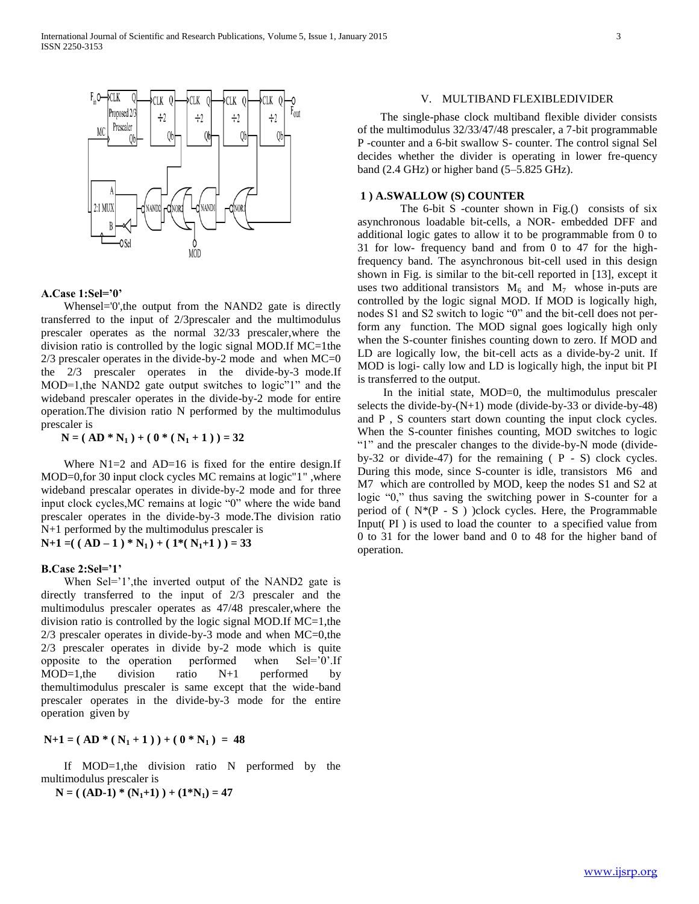

# **A.Case 1:Sel='0'**

 Whensel='0',the output from the NAND2 gate is directly transferred to the input of 2/3prescaler and the multimodulus prescaler operates as the normal 32/33 prescaler,where the division ratio is controlled by the logic signal MOD.If MC=1the  $2/3$  prescaler operates in the divide-by-2 mode and when  $MC=0$ the 2/3 prescaler operates in the divide-by-3 mode.If MOD=1,the NAND2 gate output switches to logic"1" and the wideband prescaler operates in the divide-by-2 mode for entire operation.The division ratio N performed by the multimodulus prescaler is

 $N = (AD * N_1) + (0 * (N_1 + 1)) = 32$ 

Where  $N1=2$  and  $AD=16$  is fixed for the entire design.If MOD=0,for 30 input clock cycles MC remains at logic"1" ,where wideband prescalar operates in divide-by-2 mode and for three input clock cycles,MC remains at logic "0" where the wide band prescaler operates in the divide-by-3 mode.The division ratio N+1 performed by the multimodulus prescaler is  $N+1 = ( (AD-1)*N_1) + (1*(N_1+1)) = 33$ 

#### **B.Case 2:Sel='1'**

When Sel='1', the inverted output of the NAND2 gate is directly transferred to the input of 2/3 prescaler and the multimodulus prescaler operates as 47/48 prescaler,where the division ratio is controlled by the logic signal MOD.If MC=1,the 2/3 prescaler operates in divide-by-3 mode and when MC=0,the 2/3 prescaler operates in divide by-2 mode which is quite opposite to the operation performed when Sel='0'.If MOD=1,the division ratio N+1 performed by themultimodulus prescaler is same except that the wide-band prescaler operates in the divide-by-3 mode for the entire operation given by

 $N+1 = (AD * (N_1 + 1)) + (0 * N_1) = 48$ 

 If MOD=1,the division ratio N performed by the multimodulus prescaler is

 $N = ( (AD-1) * (N_1+1) ) + (1*N_1) = 47$ 

#### V. MULTIBAND FLEXIBLEDIVIDER

 The single-phase clock multiband flexible divider consists of the multimodulus 32/33/47/48 prescaler, a 7-bit programmable P -counter and a 6-bit swallow S- counter. The control signal Sel decides whether the divider is operating in lower fre-quency band (2.4 GHz) or higher band (5–5.825 GHz).

## **1 ) A.SWALLOW (S) COUNTER**

The  $6$ -bit S -counter shown in Fig.() consists of six asynchronous loadable bit-cells, a NOR- embedded DFF and additional logic gates to allow it to be programmable from 0 to 31 for low- frequency band and from 0 to 47 for the highfrequency band. The asynchronous bit-cell used in this design shown in Fig. is similar to the bit-cell reported in [13], except it uses two additional transistors  $M_6$  and  $M_7$  whose in-puts are controlled by the logic signal MOD. If MOD is logically high, nodes S1 and S2 switch to logic "0" and the bit-cell does not perform any function. The MOD signal goes logically high only when the S-counter finishes counting down to zero. If MOD and LD are logically low, the bit-cell acts as a divide-by-2 unit. If MOD is logi- cally low and LD is logically high, the input bit PI is transferred to the output.

 In the initial state, MOD=0, the multimodulus prescaler selects the divide-by-(N+1) mode (divide-by-33 or divide-by-48) and P , S counters start down counting the input clock cycles. When the S-counter finishes counting, MOD switches to logic "1" and the prescaler changes to the divide-by-N mode (divideby-32 or divide-47) for the remaining ( P - S) clock cycles. During this mode, since S-counter is idle, transistors M6 and M7 which are controlled by MOD, keep the nodes S1 and S2 at logic "0," thus saving the switching power in S-counter for a period of  $(N*(P - S))$  clock cycles. Here, the Programmable Input( PI ) is used to load the counter to a specified value from 0 to 31 for the lower band and 0 to 48 for the higher band of operation.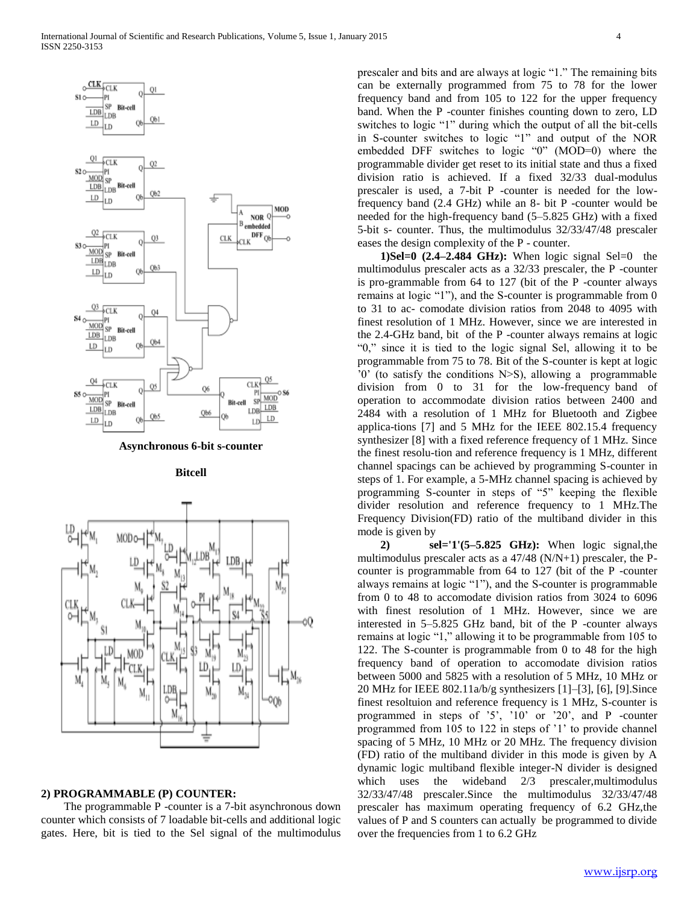

**Asynchronous 6-bit s-counter**

**Bitcell**



## **2) PROGRAMMABLE (P) COUNTER:**

 The programmable P -counter is a 7-bit asynchronous down counter which consists of 7 loadable bit-cells and additional logic gates. Here, bit is tied to the Sel signal of the multimodulus prescaler and bits and are always at logic "1." The remaining bits can be externally programmed from 75 to 78 for the lower frequency band and from 105 to 122 for the upper frequency band. When the P -counter finishes counting down to zero, LD switches to logic "1" during which the output of all the bit-cells in S-counter switches to logic "1" and output of the NOR embedded DFF switches to logic "0" (MOD=0) where the programmable divider get reset to its initial state and thus a fixed division ratio is achieved. If a fixed 32/33 dual-modulus prescaler is used, a 7-bit P -counter is needed for the lowfrequency band (2.4 GHz) while an 8- bit P -counter would be needed for the high-frequency band (5–5.825 GHz) with a fixed 5-bit s- counter. Thus, the multimodulus 32/33/47/48 prescaler eases the design complexity of the P - counter.

**1)Sel=0 (2.4–2.484 GHz):** When logic signal Sel=0 the multimodulus prescaler acts as a 32/33 prescaler, the P -counter is pro-grammable from 64 to 127 (bit of the P -counter always remains at logic "1"), and the S-counter is programmable from 0 to 31 to ac- comodate division ratios from 2048 to 4095 with finest resolution of 1 MHz. However, since we are interested in the 2.4-GHz band, bit of the P -counter always remains at logic "0," since it is tied to the logic signal Sel, allowing it to be programmable from 75 to 78. Bit of the S-counter is kept at logic '0' (to satisfy the conditions N>S), allowing a programmable division from 0 to 31 for the low-frequency band of operation to accommodate division ratios between 2400 and 2484 with a resolution of 1 MHz for Bluetooth and Zigbee applica-tions [7] and 5 MHz for the IEEE 802.15.4 frequency synthesizer [8] with a fixed reference frequency of 1 MHz. Since the finest resolu-tion and reference frequency is 1 MHz, different channel spacings can be achieved by programming S-counter in steps of 1. For example, a 5-MHz channel spacing is achieved by programming S-counter in steps of "5" keeping the flexible divider resolution and reference frequency to 1 MHz.The Frequency Division(FD) ratio of the multiband divider in this mode is given by

 **2) sel='1'(5–5.825 GHz):** When logic signal,the multimodulus prescaler acts as a 47/48 (N/N+1) prescaler, the Pcounter is programmable from 64 to 127 (bit of the P -counter always remains at logic "1"), and the S-counter is programmable from 0 to 48 to accomodate division ratios from 3024 to 6096 with finest resolution of 1 MHz. However, since we are interested in 5–5.825 GHz band, bit of the P -counter always remains at logic "1," allowing it to be programmable from 105 to 122. The S-counter is programmable from 0 to 48 for the high frequency band of operation to accomodate division ratios between 5000 and 5825 with a resolution of 5 MHz, 10 MHz or 20 MHz for IEEE 802.11a/b/g synthesizers [1]–[3], [6], [9].Since finest resoltuion and reference frequency is 1 MHz, S-counter is programmed in steps of '5', '10' or '20', and P -counter programmed from 105 to 122 in steps of '1' to provide channel spacing of 5 MHz, 10 MHz or 20 MHz. The frequency division (FD) ratio of the multiband divider in this mode is given by A dynamic logic multiband flexible integer-N divider is designed which uses the wideband  $2/3$  prescaler, multimodulus 32/33/47/48 prescaler.Since the multimodulus 32/33/47/48 prescaler has maximum operating frequency of 6.2 GHz,the values of P and S counters can actually be programmed to divide over the frequencies from 1 to 6.2 GHz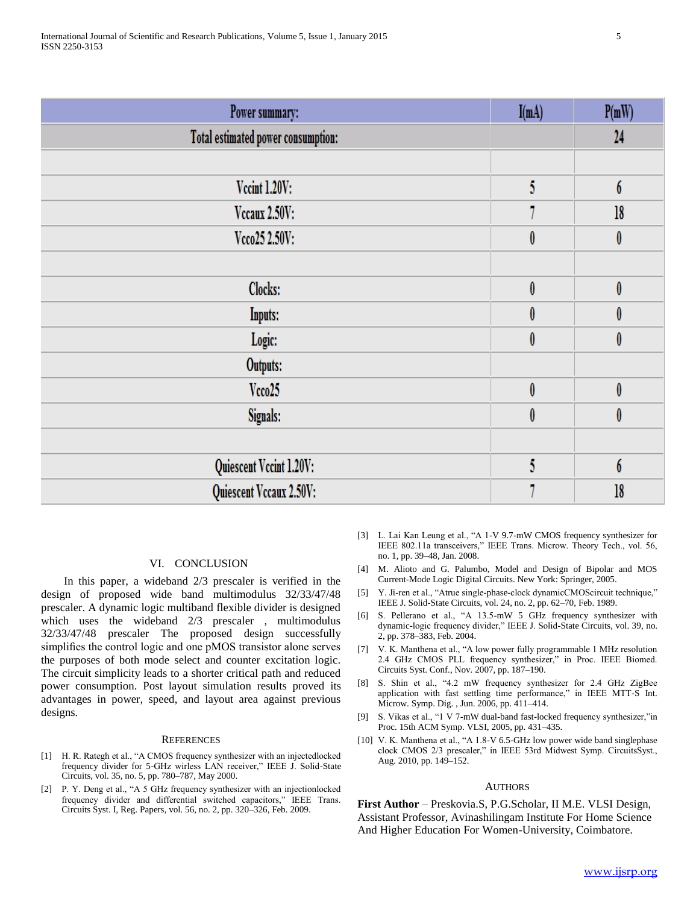| Power summary:                     | I(mA)     | P(mW)            |
|------------------------------------|-----------|------------------|
| Total estimated power consumption: |           | 24               |
|                                    |           |                  |
| <b>Vccint 1.20V:</b>               | 5         | $\boldsymbol{6}$ |
| Vecaux 2.50V:                      |           | 18               |
| Vcco25 2.50V:                      | $\pmb{0}$ | 0                |
|                                    |           |                  |
| Clocks:                            | $\pmb{0}$ | $\pmb{0}$        |
| <b>Inputs:</b>                     | 0         | 0                |
| Logic:                             | $\pmb{0}$ | $\pmb{0}$        |
| Outputs:                           |           |                  |
| Vcco25                             | $\pmb{0}$ | 0                |
| Signals:                           | 0         | 0                |
|                                    |           |                  |
| Quiescent Vccint 1.20V:            | 5         | $\boldsymbol{6}$ |
| Quiescent Vccaux 2.50V:            |           | 18               |

# VI. CONCLUSION

 In this paper, a wideband 2/3 prescaler is verified in the design of proposed wide band multimodulus 32/33/47/48 prescaler. A dynamic logic multiband flexible divider is designed which uses the wideband 2/3 prescaler , multimodulus 32/33/47/48 prescaler The proposed design successfully simplifies the control logic and one pMOS transistor alone serves the purposes of both mode select and counter excitation logic. The circuit simplicity leads to a shorter critical path and reduced power consumption. Post layout simulation results proved its advantages in power, speed, and layout area against previous designs.

#### **REFERENCES**

- [1] H. R. Rategh et al., "A CMOS frequency synthesizer with an injectedlocked frequency divider for 5-GHz wirless LAN receiver," IEEE J. Solid-State Circuits, vol. 35, no. 5, pp. 780–787, May 2000.
- [2] P. Y. Deng et al., "A 5 GHz frequency synthesizer with an injectionlocked frequency divider and differential switched capacitors," IEEE Trans. Circuits Syst. I, Reg. Papers, vol. 56, no. 2, pp. 320–326, Feb. 2009.
- [3] L. Lai Kan Leung et al., "A 1-V 9.7-mW CMOS frequency synthesizer for IEEE 802.11a transceivers," IEEE Trans. Microw. Theory Tech., vol. 56, no. 1, pp. 39–48, Jan. 2008.
- [4] M. Alioto and G. Palumbo, Model and Design of Bipolar and MOS Current-Mode Logic Digital Circuits. New York: Springer, 2005.
- [5] Y. Ji-ren et al., "Atrue single-phase-clock dynamicCMOScircuit technique," IEEE J. Solid-State Circuits, vol. 24, no. 2, pp. 62–70, Feb. 1989.
- [6] S. Pellerano et al., "A 13.5-mW 5 GHz frequency synthesizer with dynamic-logic frequency divider," IEEE J. Solid-State Circuits, vol. 39, no. 2, pp. 378–383, Feb. 2004.
- [7] V. K. Manthena et al., "A low power fully programmable 1 MHz resolution 2.4 GHz CMOS PLL frequency synthesizer," in Proc. IEEE Biomed. Circuits Syst. Conf., Nov. 2007, pp. 187–190.
- [8] S. Shin et al., "4.2 mW frequency synthesizer for 2.4 GHz ZigBee application with fast settling time performance," in IEEE MTT-S Int. Microw. Symp. Dig. , Jun. 2006, pp. 411–414.
- [9] S. Vikas et al., "1 V 7-mW dual-band fast-locked frequency synthesizer,"in Proc. 15th ACM Symp. VLSI, 2005, pp. 431–435.
- [10] V. K. Manthena et al., "A 1.8-V 6.5-GHz low power wide band singlephase clock CMOS 2/3 prescaler," in IEEE 53rd Midwest Symp. CircuitsSyst., Aug. 2010, pp. 149–152.

#### AUTHORS

**First Author** – Preskovia.S, P.G.Scholar, II M.E. VLSI Design, Assistant Professor, Avinashilingam Institute For Home Science And Higher Education For Women-University, Coimbatore.